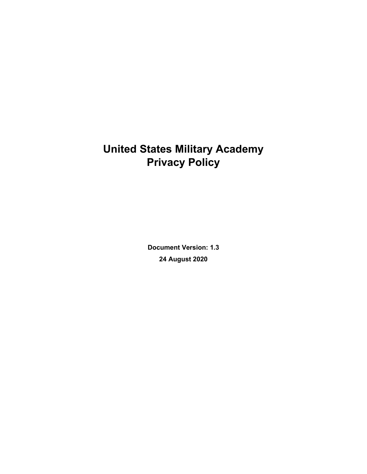# **United States Military Academy Privacy Policy**

**Document Version: 1.3 24 August 2020**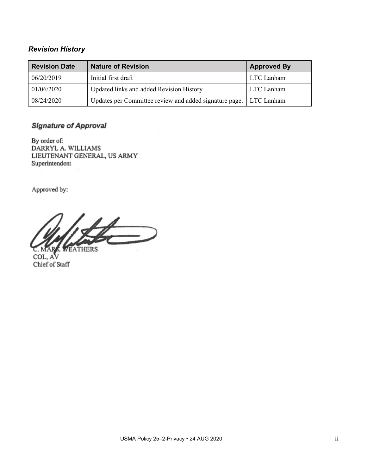# *Revision History*

| <b>Revision Date</b> | <b>Nature of Revision</b>                              | <b>Approved By</b> |
|----------------------|--------------------------------------------------------|--------------------|
| 06/20/2019           | Initial first draft                                    | LTC Lanham         |
| 01/06/2020           | Updated links and added Revision History               | LTC Lanham         |
| 08/24/2020           | Updates per Committee review and added signature page. | LTC Lanham         |

# **Signature of Approval**

By order of: DARRYL A. WILLIAMS LIEUTENANT GENERAL, US ARMY Superintendent

Approved by:

 $\overline{\phantom{a}}$ **VEATHERS** 

COL, AV Chief of Staff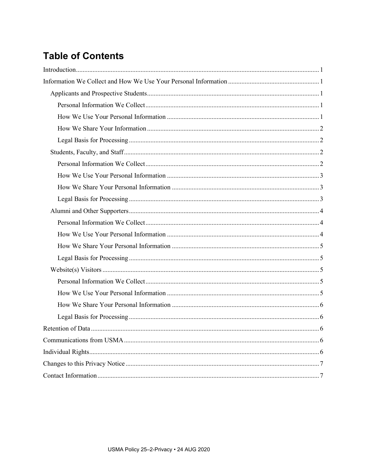# **Table of Contents**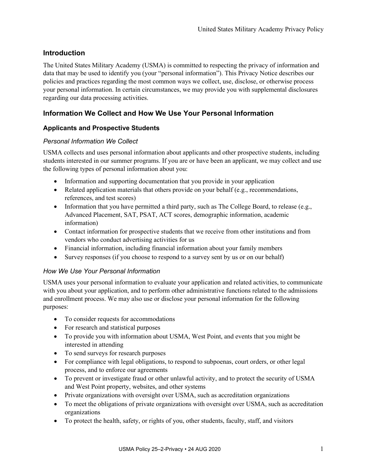# <span id="page-3-0"></span>**Introduction**

The United States Military Academy (USMA) is committed to respecting the privacy of information and data that may be used to identify you (your "personal information"). This Privacy Notice describes our policies and practices regarding the most common ways we collect, use, disclose, or otherwise process your personal information. In certain circumstances, we may provide you with supplemental disclosures regarding our data processing activities.

# <span id="page-3-1"></span>**Information We Collect and How We Use Your Personal Information**

# <span id="page-3-2"></span>**Applicants and Prospective Students**

#### <span id="page-3-3"></span>*Personal Information We Collect*

USMA collects and uses personal information about applicants and other prospective students, including students interested in our summer programs. If you are or have been an applicant, we may collect and use the following types of personal information about you:

- Information and supporting documentation that you provide in your application
- Related application materials that others provide on your behalf (e.g., recommendations, references, and test scores)
- Information that you have permitted a third party, such as The College Board, to release (e.g., Advanced Placement, SAT, PSAT, ACT scores, demographic information, academic information)
- Contact information for prospective students that we receive from other institutions and from vendors who conduct advertising activities for us
- Financial information, including financial information about your family members
- Survey responses (if you choose to respond to a survey sent by us or on our behalf)

## <span id="page-3-4"></span>*How We Use Your Personal Information*

USMA uses your personal information to evaluate your application and related activities, to communicate with you about your application, and to perform other administrative functions related to the admissions and enrollment process. We may also use or disclose your personal information for the following purposes:

- To consider requests for accommodations
- For research and statistical purposes
- To provide you with information about USMA, West Point, and events that you might be interested in attending
- To send surveys for research purposes
- For compliance with legal obligations, to respond to subpoenas, court orders, or other legal process, and to enforce our agreements
- To prevent or investigate fraud or other unlawful activity, and to protect the security of USMA and West Point property, websites, and other systems
- Private organizations with oversight over USMA, such as accreditation organizations
- To meet the obligations of private organizations with oversight over USMA, such as accreditation organizations
- To protect the health, safety, or rights of you, other students, faculty, staff, and visitors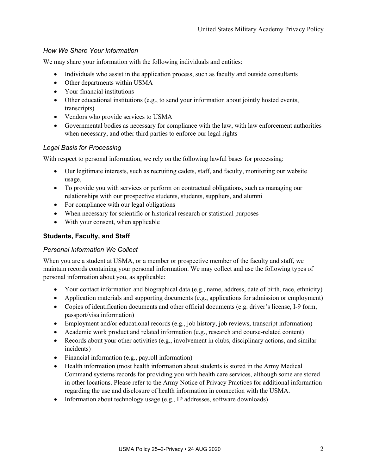# <span id="page-4-0"></span>*How We Share Your Information*

We may share your information with the following individuals and entities:

- Individuals who assist in the application process, such as faculty and outside consultants
- Other departments within USMA
- Your financial institutions
- Other educational institutions (e.g., to send your information about jointly hosted events, transcripts)
- Vendors who provide services to USMA
- Governmental bodies as necessary for compliance with the law, with law enforcement authorities when necessary, and other third parties to enforce our legal rights

#### <span id="page-4-1"></span>*Legal Basis for Processing*

With respect to personal information, we rely on the following lawful bases for processing:

- Our legitimate interests, such as recruiting cadets, staff, and faculty, monitoring our website usage,
- To provide you with services or perform on contractual obligations, such as managing our relationships with our prospective students, students, suppliers, and alumni
- For compliance with our legal obligations
- When necessary for scientific or historical research or statistical purposes
- With your consent, when applicable

### <span id="page-4-2"></span>**Students, Faculty, and Staff**

#### <span id="page-4-3"></span>*Personal Information We Collect*

When you are a student at USMA, or a member or prospective member of the faculty and staff, we maintain records containing your personal information. We may collect and use the following types of personal information about you, as applicable:

- Your contact information and biographical data (e.g., name, address, date of birth, race, ethnicity)
- Application materials and supporting documents (e.g., applications for admission or employment)
- Copies of identification documents and other official documents (e.g. driver's license, I-9 form, passport/visa information)
- Employment and/or educational records (e.g., job history, job reviews, transcript information)
- Academic work product and related information (e.g., research and course-related content)
- Records about your other activities (e.g., involvement in clubs, disciplinary actions, and similar incidents)
- Financial information (e.g., payroll information)
- Health information (most health information about students is stored in the Army Medical Command systems records for providing you with health care services, although some are stored in other locations. Please refer to the Army Notice of Privacy Practices for additional information regarding the use and disclosure of health information in connection with the USMA.
- Information about technology usage (e.g., IP addresses, software downloads)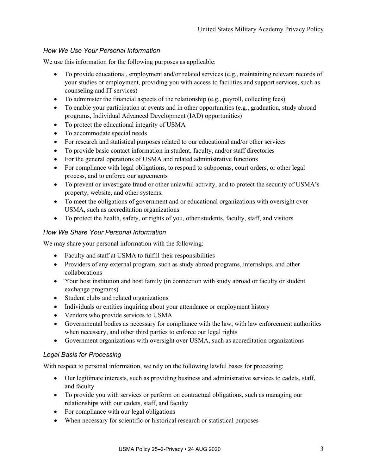# <span id="page-5-0"></span>*How We Use Your Personal Information*

We use this information for the following purposes as applicable:

- To provide educational, employment and/or related services (e.g., maintaining relevant records of your studies or employment, providing you with access to facilities and support services, such as counseling and IT services)
- To administer the financial aspects of the relationship (e.g., payroll, collecting fees)
- To enable your participation at events and in other opportunities (e.g., graduation, study abroad programs, Individual Advanced Development (IAD) opportunities)
- To protect the educational integrity of USMA
- To accommodate special needs
- For research and statistical purposes related to our educational and/or other services
- To provide basic contact information in student, faculty, and/or staff directories
- For the general operations of USMA and related administrative functions
- For compliance with legal obligations, to respond to subpoenas, court orders, or other legal process, and to enforce our agreements
- To prevent or investigate fraud or other unlawful activity, and to protect the security of USMA's property, website, and other systems.
- To meet the obligations of government and or educational organizations with oversight over USMA, such as accreditation organizations
- To protect the health, safety, or rights of you, other students, faculty, staff, and visitors

## <span id="page-5-1"></span>*How We Share Your Personal Information*

We may share your personal information with the following:

- Faculty and staff at USMA to fulfill their responsibilities
- Providers of any external program, such as study abroad programs, internships, and other collaborations
- Your host institution and host family (in connection with study abroad or faculty or student exchange programs)
- Student clubs and related organizations
- Individuals or entities inquiring about your attendance or employment history
- Vendors who provide services to USMA
- Governmental bodies as necessary for compliance with the law, with law enforcement authorities when necessary, and other third parties to enforce our legal rights
- Government organizations with oversight over USMA, such as accreditation organizations

## <span id="page-5-2"></span>*Legal Basis for Processing*

With respect to personal information, we rely on the following lawful bases for processing:

- Our legitimate interests, such as providing business and administrative services to cadets, staff, and faculty
- To provide you with services or perform on contractual obligations, such as managing our relationships with our cadets, staff, and faculty
- For compliance with our legal obligations
- When necessary for scientific or historical research or statistical purposes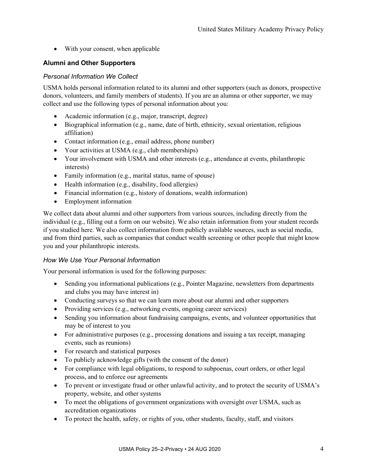• With your consent, when applicable

## <span id="page-6-0"></span>**Alumni and Other Supporters**

#### <span id="page-6-1"></span>*Personal Information We Collect*

USMA holds personal information related to its alumni and other supporters (such as donors, prospective donors, volunteers, and family members of students). If you are an alumna or other supporter, we may collect and use the following types of personal information about you:

- Academic information (e.g., major, transcript, degree)
- Biographical information (e.g., name, date of birth, ethnicity, sexual orientation, religious affiliation)
- Contact information (e.g., email address, phone number)
- Your activities at USMA (e.g., club memberships)
- Your involvement with USMA and other interests (e.g., attendance at events, philanthropic interests)
- Family information (e.g., marital status, name of spouse)
- Health information (e.g., disability, food allergies)
- Financial information (e.g., history of donations, wealth information)
- Employment information

We collect data about alumni and other supporters from various sources, including directly from the individual (e.g., filling out a form on our website). We also retain information from your student records if you studied here. We also collect information from publicly available sources, such as social media, and from third parties, such as companies that conduct wealth screening or other people that might know you and your philanthropic interests.

#### <span id="page-6-2"></span>*How We Use Your Personal Information*

Your personal information is used for the following purposes:

- Sending you informational publications (e.g., Pointer Magazine, newsletters from departments and clubs you may have interest in)
- Conducting surveys so that we can learn more about our alumni and other supporters
- Providing services (e.g., networking events, ongoing career services)
- Sending you information about fundraising campaigns, events, and volunteer opportunities that may be of interest to you
- For administrative purposes (e.g., processing donations and issuing a tax receipt, managing events, such as reunions)
- For research and statistical purposes
- To publicly acknowledge gifts (with the consent of the donor)
- For compliance with legal obligations, to respond to subpoenas, court orders, or other legal process, and to enforce our agreements
- To prevent or investigate fraud or other unlawful activity, and to protect the security of USMA's property, website, and other systems
- To meet the obligations of government organizations with oversight over USMA, such as accreditation organizations
- To protect the health, safety, or rights of you, other students, faculty, staff, and visitors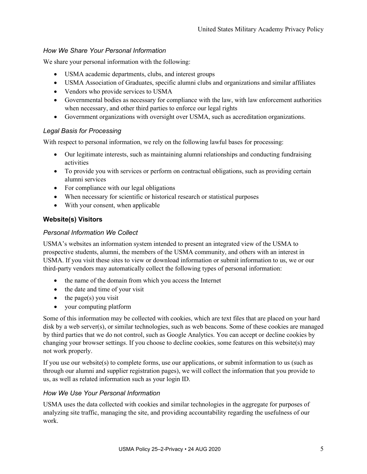## <span id="page-7-0"></span>*How We Share Your Personal Information*

We share your personal information with the following:

- USMA academic departments, clubs, and interest groups
- USMA Association of Graduates, specific alumni clubs and organizations and similar affiliates
- Vendors who provide services to USMA
- Governmental bodies as necessary for compliance with the law, with law enforcement authorities when necessary, and other third parties to enforce our legal rights
- Government organizations with oversight over USMA, such as accreditation organizations.

#### <span id="page-7-1"></span>*Legal Basis for Processing*

With respect to personal information, we rely on the following lawful bases for processing:

- Our legitimate interests, such as maintaining alumni relationships and conducting fundraising activities
- To provide you with services or perform on contractual obligations, such as providing certain alumni services
- For compliance with our legal obligations
- When necessary for scientific or historical research or statistical purposes
- With your consent, when applicable

## <span id="page-7-2"></span>**Website(s) Visitors**

#### <span id="page-7-3"></span>*Personal Information We Collect*

USMA's websites an information system intended to present an integrated view of the USMA to prospective students, alumni, the members of the USMA community, and others with an interest in USMA. If you visit these sites to view or download information or submit information to us, we or our third-party vendors may automatically collect the following types of personal information:

- the name of the domain from which you access the Internet
- the date and time of your visit
- $\bullet$  the page(s) you visit
- your computing platform

Some of this information may be collected with cookies, which are text files that are placed on your hard disk by a web server(s), or similar technologies, such as web beacons. Some of these cookies are managed by third parties that we do not control, such as Google Analytics. You can accept or decline cookies by changing your browser settings. If you choose to decline cookies, some features on this website(s) may not work properly.

If you use our website(s) to complete forms, use our applications, or submit information to us (such as through our alumni and supplier registration pages), we will collect the information that you provide to us, as well as related information such as your login ID.

## <span id="page-7-4"></span>*How We Use Your Personal Information*

USMA uses the data collected with cookies and similar technologies in the aggregate for purposes of analyzing site traffic, managing the site, and providing accountability regarding the usefulness of our work.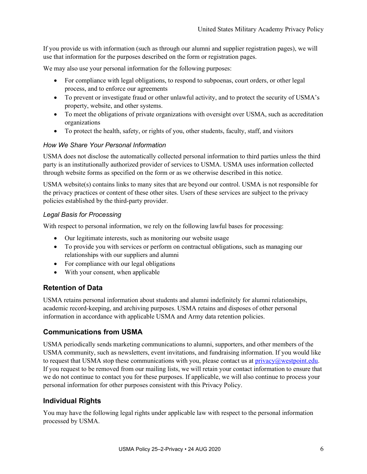If you provide us with information (such as through our alumni and supplier registration pages), we will use that information for the purposes described on the form or registration pages.

We may also use your personal information for the following purposes:

- For compliance with legal obligations, to respond to subpoenas, court orders, or other legal process, and to enforce our agreements
- To prevent or investigate fraud or other unlawful activity, and to protect the security of USMA's property, website, and other systems.
- To meet the obligations of private organizations with oversight over USMA, such as accreditation organizations
- To protect the health, safety, or rights of you, other students, faculty, staff, and visitors

#### <span id="page-8-0"></span>*How We Share Your Personal Information*

USMA does not disclose the automatically collected personal information to third parties unless the third party is an institutionally authorized provider of services to USMA. USMA uses information collected through website forms as specified on the form or as we otherwise described in this notice.

USMA website(s) contains links to many sites that are beyond our control. USMA is not responsible for the privacy practices or content of these other sites. Users of these services are subject to the privacy policies established by the third-party provider.

#### <span id="page-8-1"></span>*Legal Basis for Processing*

With respect to personal information, we rely on the following lawful bases for processing:

- Our legitimate interests, such as monitoring our website usage
- To provide you with services or perform on contractual obligations, such as managing our relationships with our suppliers and alumni
- For compliance with our legal obligations
- With your consent, when applicable

# <span id="page-8-2"></span>**Retention of Data**

USMA retains personal information about students and alumni indefinitely for alumni relationships, academic record-keeping, and archiving purposes. USMA retains and disposes of other personal information in accordance with applicable USMA and Army data retention policies.

## <span id="page-8-3"></span>**Communications from USMA**

USMA periodically sends marketing communications to alumni, supporters, and other members of the USMA community, such as newsletters, event invitations, and fundraising information. If you would like to request that USMA stop these communications with you, please contact us at  $\frac{\text{privacy}(a\text{westpoint}.edu)}{\text{poly}(a\text{testpoint})}$ . If you request to be removed from our mailing lists, we will retain your contact information to ensure that we do not continue to contact you for these purposes. If applicable, we will also continue to process your personal information for other purposes consistent with this Privacy Policy.

## <span id="page-8-4"></span>**Individual Rights**

You may have the following legal rights under applicable law with respect to the personal information processed by USMA.